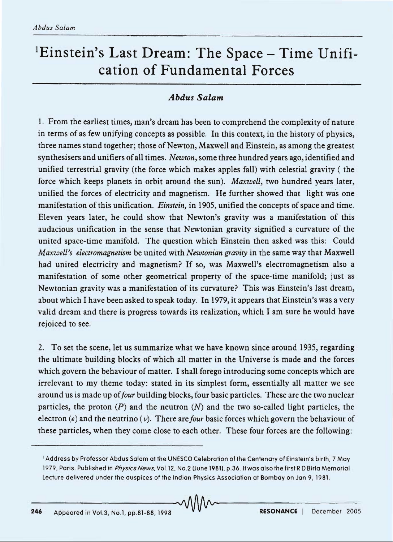## <sup>1</sup>Einstein's Last Dream: The Space - Time Unification of Fundamental Forces

## *Abdus Salam*

1. From the earliest times, man's dream has been to comprehend the complexity of nature in terms of as few unifying concepts as possible. In this context, in the history of physics, three names stand together; those of Newton, Maxwell and Einstein, as among the greatest synthesisers and unifiers of all times. *Newton,* some three hundred years ago, identified and unified terrestrial gravity (the force which makes apples fall) with celestial gravity ( the force which keeps planets in orbit around the sun). *Maxwell,* two hundred years later, unified the forces of electricity and magnetism. He further showed that light was one manifestation of this unification. *Einstein,* in 1905, unified the concepts of space and time. Eleven years later, he could show that Newton's gravity was a manifestation of this audacious unification in the sense that Newtonian gravity signified a curvature of the united space-time manifold. The question which Einstein then asked was this: Could *Maxwell's electromagnetism* be united with *Newtonian gravity* in the same way that Maxwell had united electricity and magnetism? If so, was Maxwell's electromagnetism also a manifestation of some other geometrical property of the space-time manifold; just as Newtonian gravity was a manifestation of its curvature? This was Einstein's last dream, about which I have been asked to speak today. In 1979, it appears that Einstein's was a very valid dream and there is progress towards its realization, which I am sure he would have rejoiced to see.

2. To set the scene, let us summarize what we have known since around 1935, regarding the ultimate building blocks of which all matter in the Universe is made and the forces which govern the behaviour of matter. I shall forego introducing some concepts which are irrelevant to my theme today: stated in its simplest form, essentially all matter we see around us is made up *of/our* building blocks, four basic particles. These are the two nuclear particles, the proton  $(P)$  and the neutron  $(N)$  and the two so-called light particles, the electron *(e)* and the neutrino *(v).* There *are/our* basic forces which govern the behaviour of these particles, when they come close to each other. These four forces are the following:

I Address by Professor Abdus Salam at the UNESCO Celebration of the Centenary of Einstein's birth, 7 May 1979, Paris. Published in Physics News, Vo1.l2, No.2 (June 1981), p.36.ltwas also the first R D Birla Memorial lecture delivered under the auspices of the Indian Physics Association at Bombay on Jan 9, 1981 .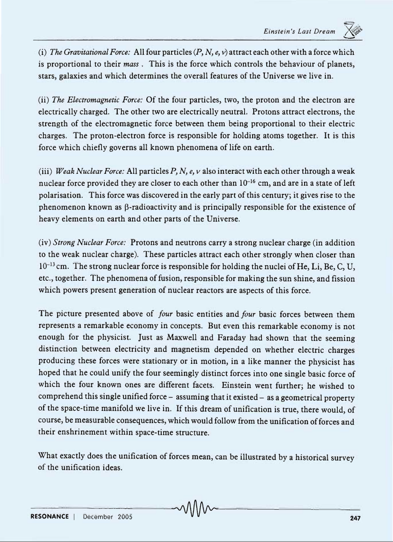(i) *The Gravitational Force:* All four particles *(P, N, e, v)* attract each other with a force which is proportional to their *mass.* This is the force which controls the behaviour of planets, stars, galaxies and which determines the overall features of the Universe we live in.

(ii) *The Electromagnetic Force:* Of the four particles, two, the proton and the electron are electrically charged. The other two are electrically neutral. Protons attract electrons, the strength of the electromagnetic force between them being proportional to their electric charges. The proton-electron force is responsible for holding atoms together. It is this force which chiefly governs all known phenomena of life on earth.

(iii) *Weak Nuclear Force:* All particles *P, N, e, v* also interact with each other through a weak nuclear force provided they are closer to each other than  $10^{-16}$  cm, and are in a state of left polarisation. This force was discovered in the early part of this century; it gives rise to the phenomenon known as  $\beta$ -radioactivity and is principally responsible for the existence of heavy elements on earth and other parts of the Universe.

(iv) *Strong Nuclear Force:* Protons and neutrons carry a strong nuclear charge (in addition to the weak nuclear charge). These particles attract each other strongly when closer than  $10^{-13}$  cm. The strong nuclear force is responsible for holding the nuclei of He, Li, Be, C, U, etc., together. The phenomena of fusion, responsible for making the sun shine, and fission which powers present generation of nuclear reactors are aspects of this force.

The picture presented above of *four* basic entities and *four* basic forces between them represents a remarkable economy in concepts. But even this remarkable economy is not enough for the physicist. Just as Maxwell and Faraday had shown that the seeming distinction between electricity and magnetism depended on whether electric charges producing these forces were stationary or in motion, in a like manner the physicist has hoped that he could unify the four seemingly distinct forces into one single basic force of which the four known ones are different facets. Einstein went further; he wished to comprehend this single unified force - assuming that it existed - as a geometrical property of the space-time manifold we live in. If this dream of unification is true, there would, of course, be measurable consequences, which would follow from the unification of forces and their enshrinement within space-time structure.

What exactly does the unification of forces mean, can be illustrated by a historical survey of the unification ideas.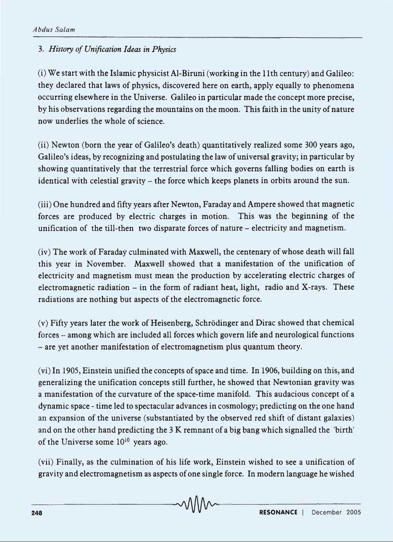## *3. History of Unification Ideas in Physics*

(i) We start with the Islamic physicist AI-Biruni (working in the 11 th century) and Galileo: they declared that laws of physics, discovered here on earth, apply equally to phenomena occurring elsewhere in the Universe. Galileo in particular made the concept more precise, by his observations regarding the mountains on the moon. This faith in the unity of nature now underlies the whole of science.

(ii) Newton (born the year of Galileo's death) quantitatively realized some 300 years ago, Galileo's ideas, by recognizing and postulating the law of universal gravity; in particular by showing quantitatively that the terrestrial force which governs falling bodies on earth is identical with celestial gravity - the force which keeps planets in orbits around the sun.

(iii) One hundred and fifty years after Newton, Faraday and Ampere showed that magnetic forces are produced by electric charges in motion. This was the beginning of the unification of the till-then two disparate forces of nature - electricity and magnetism.

(iv) The work of Faraday culminated with Maxwell, the centenary of whose death will fall this year in November. Maxwell showed that a manifestation of the unification of electricity and magnetism must mean the production by accelerating electric charges of electromagnetic radiation  $-$  in the form of radiant heat, light, radio and X-rays. These radiations are nothing but aspects of the electromagnetic force.

(v) Fifty years later the work of Heisenberg, Schrodinger and Dirac showed that chemical forces - among which are included all forces which govern life and neurological functions - are yet another manifestation of electromagnetism plus quantum theory.

(vi) In 1905, Einstein unified the concepts of space and time. In 1906, building on this, and generalizing the unification concepts still further, he showed that Newtonian gravity was a manifestation of the curvature of the space-time manifold. This audacious concept of a dynamic space - time led to spectacular advances in cosmology; predicting on the one hand an expansion of the universe (substantiated by the observed red shift of distant galaxies) and on the other hand predicting the 3 K remnant of a big bang which signalled the 'birth' of the Universe some  $10^{10}$  years ago.

(vii) Finally, as the culmination of his life work, Einstein wished to see a unification of gravity and electromagnetism as aspects of one single force. In modern language he wished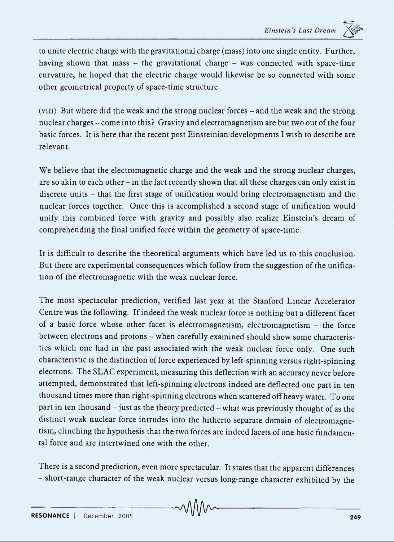to unite electric charge with the gravitational charge (mass) into one single entity. Further, having shown that mass  $-$  the gravitational charge  $-$  was connected with space-time curvature, he hoped that the electric charge would likewise be so connected with some other geometrical property of space-time structure.

(viii) But where did the weak and the strong nuclear forces – and the weak and the strong nuclear charges - come into this? Gravity and electromagnetism are but two out of the four basic forces. It is here that the recent post Einsteinian developments I wish to describe are relevant.

We believe that the electromagnetic charge and the weak and the strong nuclear charges, are so akin to each other  $-\text{in}$  the fact recently shown that all these charges can only exist in discrete units – that the first stage of unification would bring electromagnetism and the nuclear forces together. Once this is accomplished a second stage of unification would unify this combined force with gravity and possibly also realize Einstein's dream of comprehending the final unified force within the geometry of space-time.

It is difficult to describe the theoretical arguments which have led us to this conclusion. But there are experimental consequences which follow from the suggestion of the unification of the electromagnetic with the weak nuclear force.

The most spectacular prediction, verified last year at the Stanford Linear Accelerator Centre was the following. If indeed the weak nuclear force is nothing but a different facet of a basic force whose other facet is electromagnetism, electromagnetism - the force between electrons and protons - when carefully examined should show some characteristics which one had in the past associated with the weak nuclear force only. One such characteristic is the distinction of force experienced by left-spinning versus right-spinning electrons. The SLAC experiment, measuring this deflection with an accuracy never before attempted, demonstrated that left-spinning electrons indeed are deflected one part in ten thousand times more than right-spinning electrons when scattered off heavy water. To one part in ten thousand – just as the theory predicted – what was previously thought of as the distinct weak nuclear force intrudes into the hitherto separate domain of electromagnetism, clinching the hypothesis that the two forces are indeed facets of one basic fundamental force and are intertwined one with the other.

There is a second prediction, even more spectacular. It states that the apparent differences - short-range character of the weak nuclear versus long-range character exhibited by the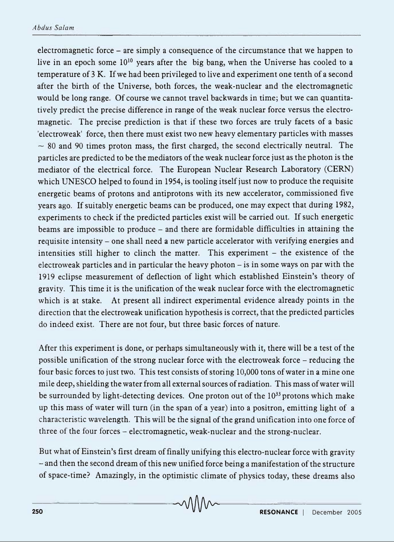electromagnetic force - are simply a consequence of the circumstance that we happen to live in an epoch some  $10^{10}$  years after the big bang, when the Universe has cooled to a temperature of 3 K. If we had been privileged to live and experiment one tenth of a second after the birth of the Universe, both forces, the weak-nuclear and the electromagnetic would be long range. Of course we cannot travel backwards in time; but we can quantitatively predict the precise difference in range of the weak nuclear force versus the electromagnetic. The precise prediction is that if these two forces are truly facets of a basic 'electroweak' force, then there must exist two new heavy elementary particles with masses  $\sim$  80 and 90 times proton mass, the first charged, the second electrically neutral. The particles are predicted to be the mediators of the weak nuclear force just as the photon is the mediator of the electrical force. The European Nuclear Research Laboratory (CERN) which UNESCO helped to found in 1954, is tooling itself just now to produce the requisite energetic beams of protons and antiprotons with its new accelerator, commissioned five years ago. If suitably energetic beams can be produced, one may expect that during 1982, experiments to check if the predicted particles exist will be carried out. If such energetic beams are impossible to produce - and there are formidable difficulties in attaining the requisite intensity - one shall need a new particle accelerator with verifying energies and intensities still higher to clinch the matter. This experiment – the existence of the electroweak particles and in particular the heavy photon - is in some ways on par with the 1919 eclipse measurement of deflection of light which established Einstein's theory of gravity. This time it is the unification of the weak nuclear force with the electromagnetic which is at stake. At present all indirect experimental evidence already points in the direction that the electroweak unification hypothesis is correct, that the predicted particles do indeed exist. There are not four, but three basic forces of nature.

After this experiment is done, or perhaps simultaneously with it, there will be a test of the possible unification of the strong nuclear force with the electroweak force - reducing the four basic forces to just two. This test consists of storing 10,000 tons of water in a mine one mile deep, shielding the water from all external sources of radiation. This mass of water will be surrounded by light-detecting devices. One proton out of the  $10^{33}$  protons which make up this mass of water will turn (in the span of a year) into a positron, emitting light of a characteristic wavelength. This will be the signal of the grand unification into one force of three of the four forces - electromagnetic, weak-nuclear and the strong-nuclear.

But what of Einstein's first dream of finally unifying this electro-nuclear force with gravity - and then the second dream of this new unified force being a manifestation of the structure of space-time? Amazingly, in the optimistic climate of physics today, these dreams also

 $-10$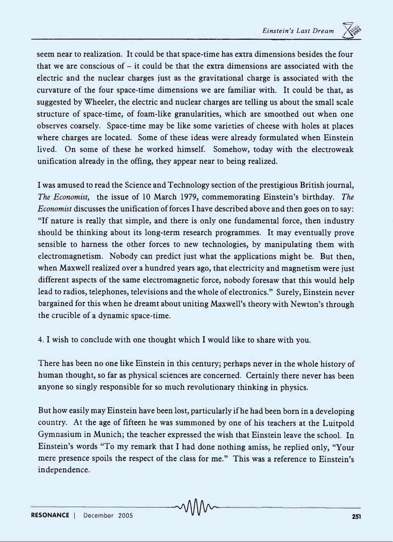<u>. ب</u>

seem near to realization. It could be that space-time has extra dimensions besides the four that we are conscious of  $-$  it could be that the extra dimensions are associated with the electric and the nuclear charges just as the gravitational charge is associated with the curvature of the four space-time dimensions we are familiar with. It could be that, as suggested by Wheeler, the electric and nuclear charges are telling us about the small scale structure of space-time, of foam-like granularities, which are smoothed out when one observes coarsely. Space-time may be like some varieties of cheese with holes at places where charges are located. Some of these ideas were already formulated when Einstein lived. On some of these he worked himself. Somehow, today with the electroweak unification already in the offing, they appear near to being realized.

I was amused to read the Science and Technology section of the prestigious British journal, *The Economist,* the issue of 10 March 1979, commemorating Einstein's birthday. *The Economist* discusses the unification of forces I have described above and then goes on to say: "If nature is really that simple, and there is only one fundamental force, then industry should be thinking about its long-term research programmes. It may eventually prove sensible to harness the other forces to new technologies, by manipulating them with electromagnetism. Nobody can predict just what the applications might be. But then, when Maxwell realized over a hundred years ago, that electricity and magnetism were just different aspects of the same electromagnetic force, nobody foresaw that this would help lead to radios, telephones, televisions and the whole of electronics." Surely, Einstein never bargained for this when he dreamt about uniting Maxwell's theory with Newton's through the crucible of a dynamic space-time.

4. I wish to conclude with one thought which I would like to share with you.

There has been no one like Einstein in this century; perhaps never in the whole history of human thought, so far as physical sciences are concerned. Certainly there never has been anyone so singly responsible for so much revolutionary thinking in physics.

But how easily may Einstein have been lost, particularly ifhe had been born in a developing country. At the age of fifteen he was summoned by one of his teachers at the Luitpold Gymnasium in Munich; the teacher expressed the wish that Einstein leave the school. In Einstein's words "To my remark that I had done nothing amiss, he replied only, "Your mere presence spoils the respect of the class for me." This was a reference to Einstein's independence.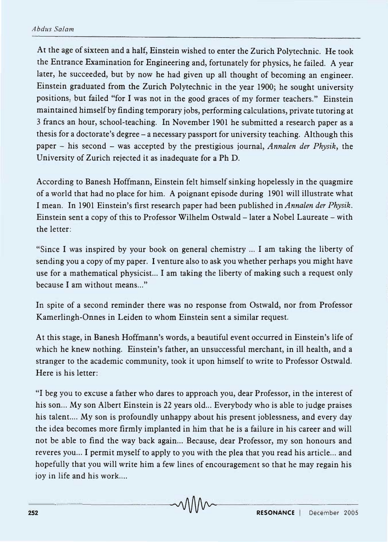At the age of sixteen and a half, Einstein wished to enter the Zurich Polytechnic. He took the Entrance Examination for Engineering and, fortunately for physics, he failed. A year later, he succeeded, but by now he had given up all thought of becoming an engineer. Einstein graduated from the Zurich Polytechnic in the year 1900; he sought university positions: but failed "for I was not in the good graces of my former teachers." Einstein maintained himself by finding temporary jobs, performing calculations, private tutoring at 3 francs an hour, school-teaching. In November 1901 he submitted a research paper as a thesis for a doctorate's degree - a necessary passport for university teaching. Although this paper - his second - was accepted by the prestigious journal, *Annalen der Physik,* the University of Zurich rejected it as inadequate for a Ph D.

According to Banesh Hoffmann, Einstein felt himself sinking hopelessly in the quagmire of a world that had no place for him. A poignant episode during 1901 will illustrate what I mean. In 1901 Einstein's first research paper had been published in *Annalen der Physik.*  Einstein sent a copy of this to Professor Wilhelm Ostwald - later a Nobel Laureate - with the letter:

"Since I was inspired by your book on general chemistry ... I am taking the liberty of sending you a copy of my paper. I venture also to ask you whether perhaps you might have use for a mathematical physicist... I am taking the liberty of making such a request only because I am without means..."

In spite of a second reminder there was no response from Ostwald, nor from Professor Kamerlingh-Onnes in Leiden to whom Einstein sent a similar request.

At this stage, in Banesh Hoffmann's words, a beautiful event occurred in Einstein's life of which he knew nothing. Einstein's father, an unsuccessful merchant, in ill health, and a stranger to the academic community, took it upon himself to write to Professor Ostwald. Here is his letter:

"I beg you to excuse a father who dares to approach you, dear Professor, in the interest of his son... My son Albert Einstein is 22 years old... Everybody who is able to judge praises his talent.... My son is profoundly unhappy about his present joblessness, and every day the idea becomes more firmly implanted in him that he is a failure in his career and will not be able to find the way back again ... Because, dear Professor, my son honours and reveres you ... I permit myself to apply to you with the plea that you read his article ... and hopefully that you will write him a few lines of encouragement so that he may regain his joy in life and his work....